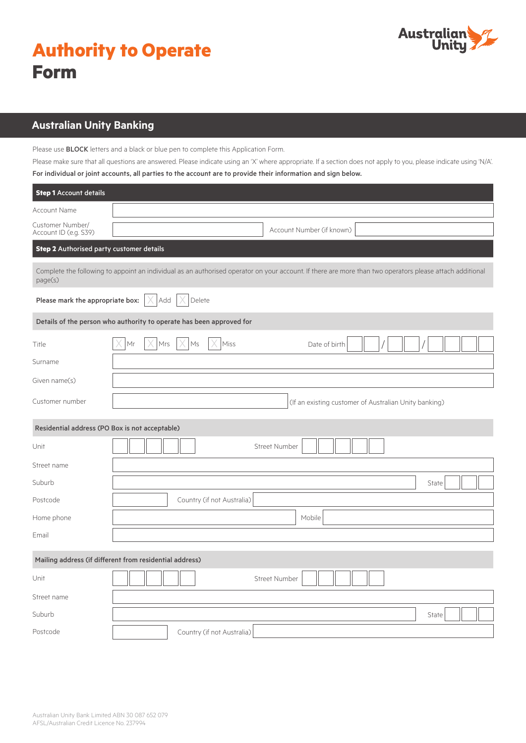| <b>Authority to Operate</b> |  |
|-----------------------------|--|
| <b>Form</b>                 |  |



# **Australian Unity Banking**

Please use BLOCK letters and a black or blue pen to complete this Application Form.

Please make sure that all questions are answered. Please indicate using an 'X' where appropriate. If a section does not apply to you, please indicate using 'N/A'. For individual or joint accounts, all parties to the account are to provide their information and sign below.

| <b>Step 1</b> Account details                           |                                                                                                                                                          |  |
|---------------------------------------------------------|----------------------------------------------------------------------------------------------------------------------------------------------------------|--|
| Account Name                                            |                                                                                                                                                          |  |
| Customer Number/<br>Account ID (e.g. S39)               | Account Number (if known)                                                                                                                                |  |
| Step 2 Authorised party customer details                |                                                                                                                                                          |  |
| page(s)                                                 | Complete the following to appoint an individual as an authorised operator on your account. If there are more than two operators please attach additional |  |
| Please mark the appropriate box:                        | Add<br>Delete                                                                                                                                            |  |
|                                                         | Details of the person who authority to operate has been approved for                                                                                     |  |
| Title                                                   | Mrs<br>Ms<br>Miss<br>Mr<br>Date of birth                                                                                                                 |  |
| Surname                                                 |                                                                                                                                                          |  |
| Given name(s)                                           |                                                                                                                                                          |  |
| Customer number                                         | (If an existing customer of Australian Unity banking)                                                                                                    |  |
| Residential address (PO Box is not acceptable)          |                                                                                                                                                          |  |
| Unit                                                    | <b>Street Number</b>                                                                                                                                     |  |
| Street name                                             |                                                                                                                                                          |  |
| Suburb                                                  | State                                                                                                                                                    |  |
| Postcode                                                | Country (if not Australia)                                                                                                                               |  |
| Home phone                                              | Mobile                                                                                                                                                   |  |
| Email                                                   |                                                                                                                                                          |  |
| Mailing address (if different from residential address) |                                                                                                                                                          |  |
| Unit                                                    | <b>Street Number</b>                                                                                                                                     |  |
| Street name                                             |                                                                                                                                                          |  |
| Suburb                                                  | State                                                                                                                                                    |  |
| Postcode                                                | Country (if not Australia)                                                                                                                               |  |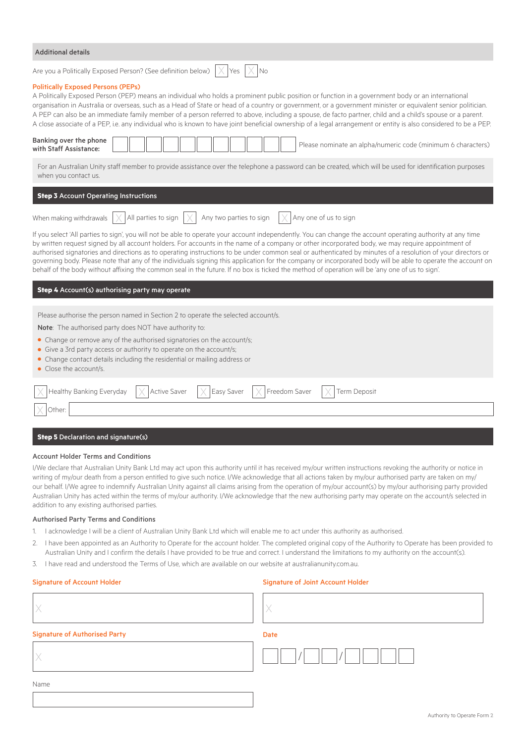| <b>Additional details</b>                                                                                                                                                                                                                                                                                                                                                                                                                                                                                                                                                                                                                                                                      |
|------------------------------------------------------------------------------------------------------------------------------------------------------------------------------------------------------------------------------------------------------------------------------------------------------------------------------------------------------------------------------------------------------------------------------------------------------------------------------------------------------------------------------------------------------------------------------------------------------------------------------------------------------------------------------------------------|
| Are you a Politically Exposed Person? (See definition below) $ \times $ Yes $ \times $ No                                                                                                                                                                                                                                                                                                                                                                                                                                                                                                                                                                                                      |
| <b>Politically Exposed Persons (PEPs)</b><br>A Politically Exposed Person (PEP) means an individual who holds a prominent public position or function in a government body or an international<br>organisation in Australia or overseas, such as a Head of State or head of a country or government, or a government minister or equivalent senior politician.<br>A PEP can also be an immediate family member of a person referred to above, including a spouse, de facto partner, child and a child's spouse or a parent.<br>A close associate of a PEP, i.e. any individual who is known to have joint beneficial ownership of a legal arrangement or entity is also considered to be a PEP |

| Banking over the phone<br>Please nominate an alpha/numeric code (minimum 6 characters)<br>with Staff Assistance:                                                                                                                                                                                                                                                                                                                                                                                                                                                                                                                                                                                                                                                                                   |
|----------------------------------------------------------------------------------------------------------------------------------------------------------------------------------------------------------------------------------------------------------------------------------------------------------------------------------------------------------------------------------------------------------------------------------------------------------------------------------------------------------------------------------------------------------------------------------------------------------------------------------------------------------------------------------------------------------------------------------------------------------------------------------------------------|
| For an Australian Unity staff member to provide assistance over the telephone a password can be created, which will be used for identification purposes<br>when you contact us.                                                                                                                                                                                                                                                                                                                                                                                                                                                                                                                                                                                                                    |
| <b>Step 3</b> Account Operating Instructions                                                                                                                                                                                                                                                                                                                                                                                                                                                                                                                                                                                                                                                                                                                                                       |
| When making withdrawals $\chi$ All parties to sign $\chi$ Any two parties to sign $\chi$ Any one of us to sign                                                                                                                                                                                                                                                                                                                                                                                                                                                                                                                                                                                                                                                                                     |
| If you select 'All parties to sign', you will not be able to operate your account independently. You can change the account operating authority at any time<br>by written request signed by all account holders. For accounts in the name of a company or other incorporated body, we may require appointment of<br>authorised signatories and directions as to operating instructions to be under common seal or authenticated by minutes of a resolution of your directors or<br>governing body. Please note that any of the individuals signing this application for the company or incorporated body will be able to operate the account on<br>behalf of the body without affixing the common seal in the future. If no box is ticked the method of operation will be 'any one of us to sign'. |
| <b>Step 4</b> Account(s) authorising party may operate                                                                                                                                                                                                                                                                                                                                                                                                                                                                                                                                                                                                                                                                                                                                             |
| Please authorise the person named in Section 2 to operate the selected account/s.                                                                                                                                                                                                                                                                                                                                                                                                                                                                                                                                                                                                                                                                                                                  |
| <b>Note:</b> The authorised party does NOT have authority to:                                                                                                                                                                                                                                                                                                                                                                                                                                                                                                                                                                                                                                                                                                                                      |
| • Change or remove any of the authorised signatories on the account/s;                                                                                                                                                                                                                                                                                                                                                                                                                                                                                                                                                                                                                                                                                                                             |

- **•** Give a 3rd party access or authority to operate on the account/s;
- **•** Change contact details including the residential or mailing address or
- **•** Close the account/s.

| $\boxed{\times}$ Healthy Banking Everyday $\boxed{\times}$ Active Saver $\boxed{\times}$ Easy Saver $\boxed{\times}$ Freedom Saver $\boxed{\times}$ Term Deposit |  |  |
|------------------------------------------------------------------------------------------------------------------------------------------------------------------|--|--|
|                                                                                                                                                                  |  |  |

#### **Step 5** Declaration and signature(s)

#### Account Holder Terms and Conditions

I/We declare that Australian Unity Bank Ltd may act upon this authority until it has received my/our written instructions revoking the authority or notice in writing of my/our death from a person entitled to give such notice. I/We acknowledge that all actions taken by my/our authorised party are taken on my/ our behalf. I/We agree to indemnify Australian Unity against all claims arising from the operation of my/our account(s) by my/our authorising party provided Australian Unity has acted within the terms of my/our authority. I/We acknowledge that the new authorising party may operate on the account/s selected in addition to any existing authorised parties.

#### Authorised Party Terms and Conditions

- 1. I acknowledge I will be a client of Australian Unity Bank Ltd which will enable me to act under this authority as authorised.
- 2. I have been appointed as an Authority to Operate for the account holder. The completed original copy of the Authority to Operate has been provided to Australian Unity and I confirm the details I have provided to be true and correct. I understand the limitations to my authority on the account(s).
- 3. I have read and understood the Terms of Use, which are available on our website at australianunity.com.au.

#### Signature of Account Holder Signature of Joint Account Holder Signature of Joint Account Holder

| <b>Signature of Authorised Party</b> | Date |
|--------------------------------------|------|
|                                      |      |
| Name                                 |      |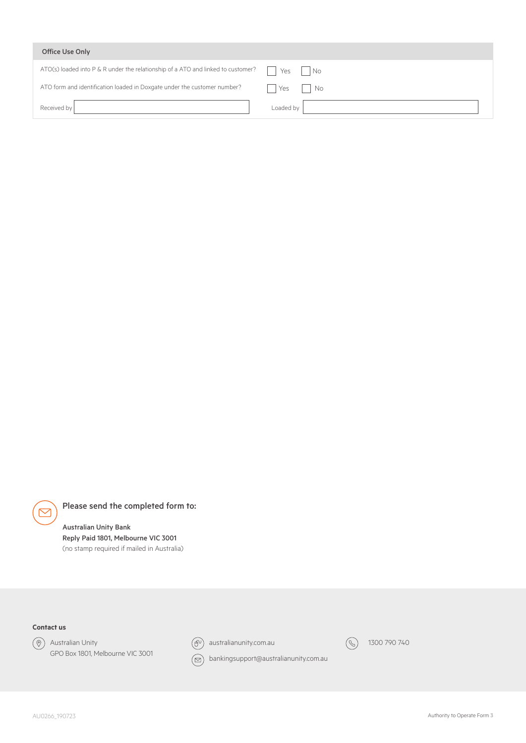| Office Use Only                                                                  |                                    |
|----------------------------------------------------------------------------------|------------------------------------|
| ATO(s) loaded into P & R under the relationship of a ATO and linked to customer? | Yes<br>$\overline{\phantom{a}}$ No |
| ATO form and identification loaded in Doxgate under the customer number?         | Yes<br>No                          |
| Received by                                                                      | Loaded by                          |

Please send the completed form to:

## Australian Unity Bank

Reply Paid 1801, Melbourne VIC 3001 (no stamp required if mailed in Australia)

### **Contact us**

 $\triangleright$ 



Australian Unity GPO Box 1801, Melbourne VIC 3001



 $\left(\widehat{\theta}^{0}\right)$  australianunity.com.au



 $\circledcirc$  bankingsupport@australianunity.com.au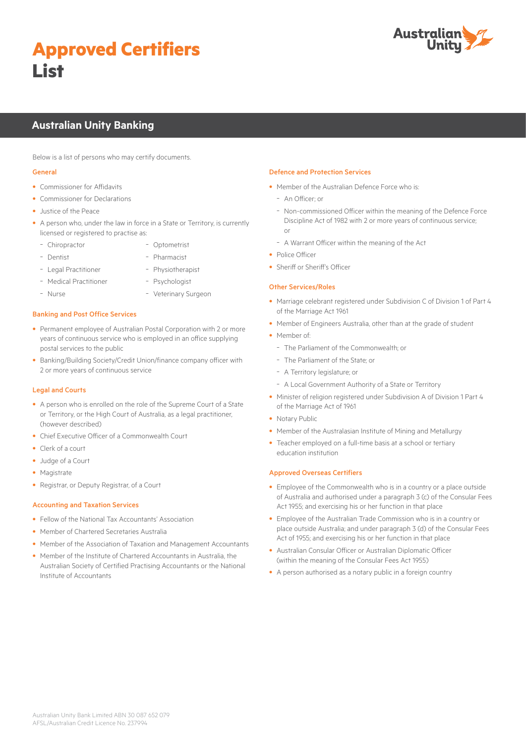# **Approved Certifiers List**



# **Australian Unity Banking**

Below is a list of persons who may certify documents.

#### General

- Commissioner for Affidavits
- Commissioner for Declarations
- Justice of the Peace
- A person who, under the law in force in a State or Territory, is currently licensed or registered to practise as:
	- Chiropractor - Optometrist
	- Dentist
- Pharmacist
- Legal Practitioner - Medical Practitioner
- Physiotherapist - Psychologist
- Nurse
- Veterinary Surgeon
- Banking and Post Office Services
- Permanent employee of Australian Postal Corporation with 2 or more years of continuous service who is employed in an office supplying postal services to the public
- Banking/Building Society/Credit Union/finance company officer with 2 or more years of continuous service

#### Legal and Courts

- A person who is enrolled on the role of the Supreme Court of a State or Territory, or the High Court of Australia, as a legal practitioner, (however described)
- Chief Executive Officer of a Commonwealth Court
- Clerk of a court
- Judge of a Court
- Magistrate
- Registrar, or Deputy Registrar, of a Court

#### Accounting and Taxation Services

- Fellow of the National Tax Accountants' Association
- Member of Chartered Secretaries Australia
- Member of the Association of Taxation and Management Accountants
- Member of the Institute of Chartered Accountants in Australia, the Australian Society of Certified Practising Accountants or the National Institute of Accountants

#### Defence and Protection Services

- Member of the Australian Defence Force who is:
	- An Officer; or
- Non-commissioned Officer within the meaning of the Defence Force Discipline Act of 1982 with 2 or more years of continuous service; or
- A Warrant Officer within the meaning of the Act
- Police Officer
- Sheriff or Sheriff's Officer

#### Other Services/Roles

- Marriage celebrant registered under Subdivision C of Division 1 of Part 4 of the Marriage Act 1961
- Member of Engineers Australia, other than at the grade of student
- Member of:
	- The Parliament of the Commonwealth; or
	- The Parliament of the State; or
	- A Territory legislature; or
- A Local Government Authority of a State or Territory
- Minister of religion registered under Subdivision A of Division 1 Part 4 of the Marriage Act of 1961
- Notary Public
- Member of the Australasian Institute of Mining and Metallurgy
- Teacher employed on a full-time basis at a school or tertiary education institution

#### Approved Overseas Certifiers

- Employee of the Commonwealth who is in a country or a place outside of Australia and authorised under a paragraph 3 (c) of the Consular Fees Act 1955; and exercising his or her function in that place
- Employee of the Australian Trade Commission who is in a country or place outside Australia; and under paragraph 3 (d) of the Consular Fees Act of 1955; and exercising his or her function in that place
- Australian Consular Officer or Australian Diplomatic Officer (within the meaning of the Consular Fees Act 1955)
- A person authorised as a notary public in a foreign country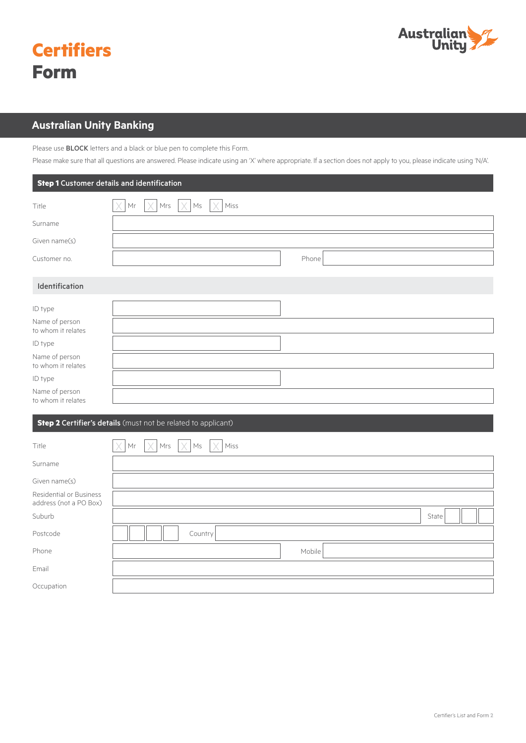

| <b>Certifiers</b> |
|-------------------|
| <b>Form</b>       |

# **Australian Unity Banking**

Please use **BLOCK** letters and a black or blue pen to complete this Form.

Please make sure that all questions are answered. Please indicate using an 'X' where appropriate. If a section does not apply to you, please indicate using 'N/A'.

|                                      | <b>Step 1</b> Customer details and identification |
|--------------------------------------|---------------------------------------------------|
| Title                                | $Mr$ $ \times Mrs$ $ \times Ms $ $ \times Miss $  |
| Surname                              |                                                   |
| Given name(s)                        |                                                   |
| Customer no.                         | Phone                                             |
| Identification<br>ID type            |                                                   |
| Name of person<br>to whom it relates |                                                   |
| ID type                              |                                                   |
| Name of person<br>to whom it relates |                                                   |
| ID type                              |                                                   |
| Name of person<br>to whom it relates |                                                   |

#### **Step 2 Certifier's details** (must not be related to applicant)

| Title                                             | $\times$<br>$Mr$ $ \times $<br>$Mrs$ $\times$ Ms<br>$\vert \times \vert$ Miss |       |
|---------------------------------------------------|-------------------------------------------------------------------------------|-------|
| Surname                                           |                                                                               |       |
| Given name(s)                                     |                                                                               |       |
| Residential or Business<br>address (not a PO Box) |                                                                               |       |
| Suburb                                            |                                                                               | State |
| Postcode                                          | Country                                                                       |       |
| Phone                                             | Mobile                                                                        |       |
| Email                                             |                                                                               |       |
| Occupation                                        |                                                                               |       |